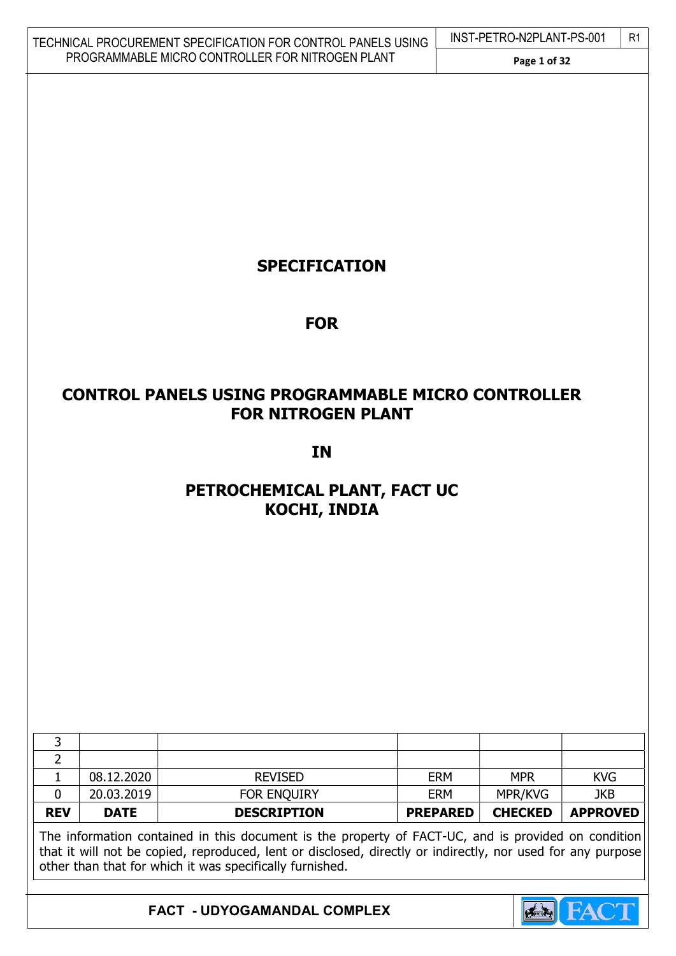| TECHNICAL PROCUREMENT SPECIFICATION FOR CONTROL PANELS USING | INST-PE |
|--------------------------------------------------------------|---------|
| PROGRAMMABLE MICRO CONTROLLER FOR NITROGEN PLANT             |         |

# $ETRO-N2PLANT-PS-001$  R1

#### Page 1 of 32

# SPECIFICATION

# FOR

# CONTROL PANELS USING PROGRAMMABLE MICRO CONTROLLER FOR NITROGEN PLANT

# IN

# PETROCHEMICAL PLANT, FACT UC KOCHI, INDIA

|                                                                                                     | 08.12.2020  | <b>REVISED</b>     | <b>ERM</b>      | <b>MPR</b>     | <b>KVG</b>      |
|-----------------------------------------------------------------------------------------------------|-------------|--------------------|-----------------|----------------|-----------------|
|                                                                                                     | 20.03.2019  | FOR ENQUIRY        | <b>ERM</b>      | MPR/KVG        | <b>JKB</b>      |
| <b>REV</b>                                                                                          | <b>DATE</b> | <b>DESCRIPTION</b> | <b>PREPARED</b> | <b>CHECKED</b> | <b>APPROVED</b> |
| The information contained in this document is the property of FACT-UC, and is provided on condition |             |                    |                 |                |                 |

that it will not be copied, reproduced, lent or disclosed, directly or indirectly, nor used for any purpose other than that for which it was specifically furnished.

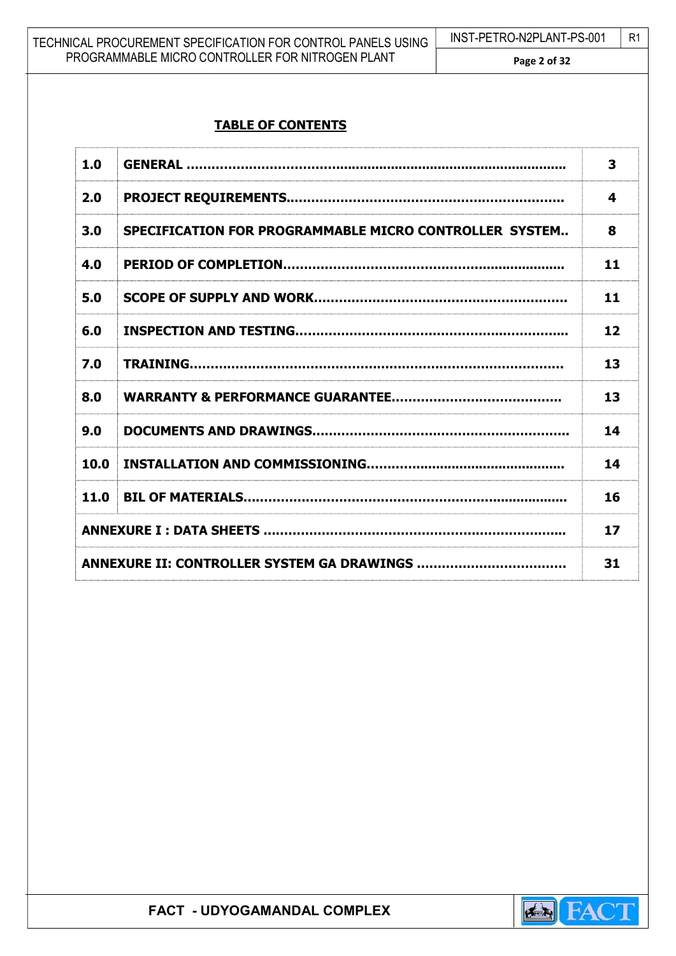| TECHNICAL PROCUREMENT SPECIFICATION FOR CONTROL PANELS USING | INST-PETRO-N2PLANT-PS-001 | -R1 |
|--------------------------------------------------------------|---------------------------|-----|
| PROGRAMMABLE MICRO CONTROLLER FOR NITROGEN PLANT             | Page 2 of 32              |     |

# TABLE OF CONTENTS

| 1.0  |                                                        | 3  |
|------|--------------------------------------------------------|----|
| 2.0  |                                                        | 4  |
| 3.0  | SPECIFICATION FOR PROGRAMMABLE MICRO CONTROLLER SYSTEM | 8  |
| 4.0  |                                                        | 11 |
| 5.0  |                                                        | 11 |
| 6.0  |                                                        | 12 |
| 7.0  |                                                        | 13 |
| 8.0  |                                                        | 13 |
| 9.0  |                                                        | 14 |
| 10.0 |                                                        | 14 |
| 11.0 |                                                        | 16 |
|      |                                                        | 17 |
|      |                                                        | 31 |

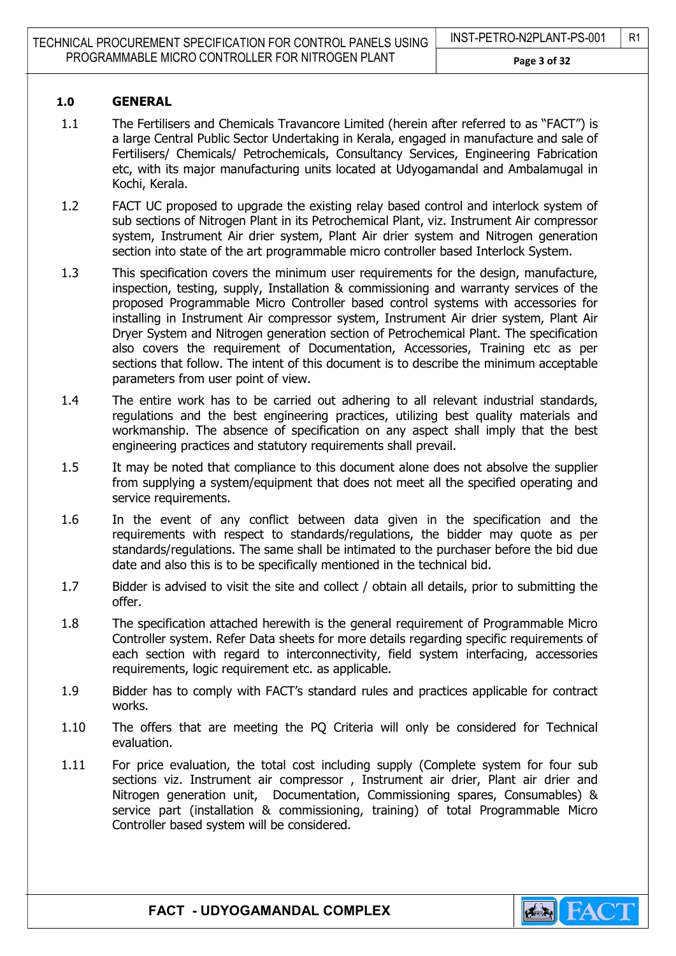#### 1.0 GENERAL

- 1.1 The Fertilisers and Chemicals Travancore Limited (herein after referred to as "FACT") is a large Central Public Sector Undertaking in Kerala, engaged in manufacture and sale of Fertilisers/ Chemicals/ Petrochemicals, Consultancy Services, Engineering Fabrication etc, with its major manufacturing units located at Udyogamandal and Ambalamugal in Kochi, Kerala.
- 1.2 FACT UC proposed to upgrade the existing relay based control and interlock system of sub sections of Nitrogen Plant in its Petrochemical Plant, viz. Instrument Air compressor system, Instrument Air drier system, Plant Air drier system and Nitrogen generation section into state of the art programmable micro controller based Interlock System.
- 1.3 This specification covers the minimum user requirements for the design, manufacture, inspection, testing, supply, Installation & commissioning and warranty services of the proposed Programmable Micro Controller based control systems with accessories for installing in Instrument Air compressor system, Instrument Air drier system, Plant Air Dryer System and Nitrogen generation section of Petrochemical Plant. The specification also covers the requirement of Documentation, Accessories, Training etc as per sections that follow. The intent of this document is to describe the minimum acceptable parameters from user point of view.
- 1.4 The entire work has to be carried out adhering to all relevant industrial standards, regulations and the best engineering practices, utilizing best quality materials and workmanship. The absence of specification on any aspect shall imply that the best engineering practices and statutory requirements shall prevail.
- 1.5 It may be noted that compliance to this document alone does not absolve the supplier from supplying a system/equipment that does not meet all the specified operating and service requirements.
- 1.6 In the event of any conflict between data given in the specification and the requirements with respect to standards/regulations, the bidder may quote as per standards/regulations. The same shall be intimated to the purchaser before the bid due date and also this is to be specifically mentioned in the technical bid.
- 1.7 Bidder is advised to visit the site and collect / obtain all details, prior to submitting the offer.
- 1.8 The specification attached herewith is the general requirement of Programmable Micro Controller system. Refer Data sheets for more details regarding specific requirements of each section with regard to interconnectivity, field system interfacing, accessories requirements, logic requirement etc. as applicable.
- 1.9 Bidder has to comply with FACT's standard rules and practices applicable for contract works.
- 1.10 The offers that are meeting the PQ Criteria will only be considered for Technical evaluation.
- 1.11 For price evaluation, the total cost including supply (Complete system for four sub sections viz. Instrument air compressor, Instrument air drier, Plant air drier and Nitrogen generation unit, Documentation, Commissioning spares, Consumables) & service part (installation & commissioning, training) of total Programmable Micro Controller based system will be considered.

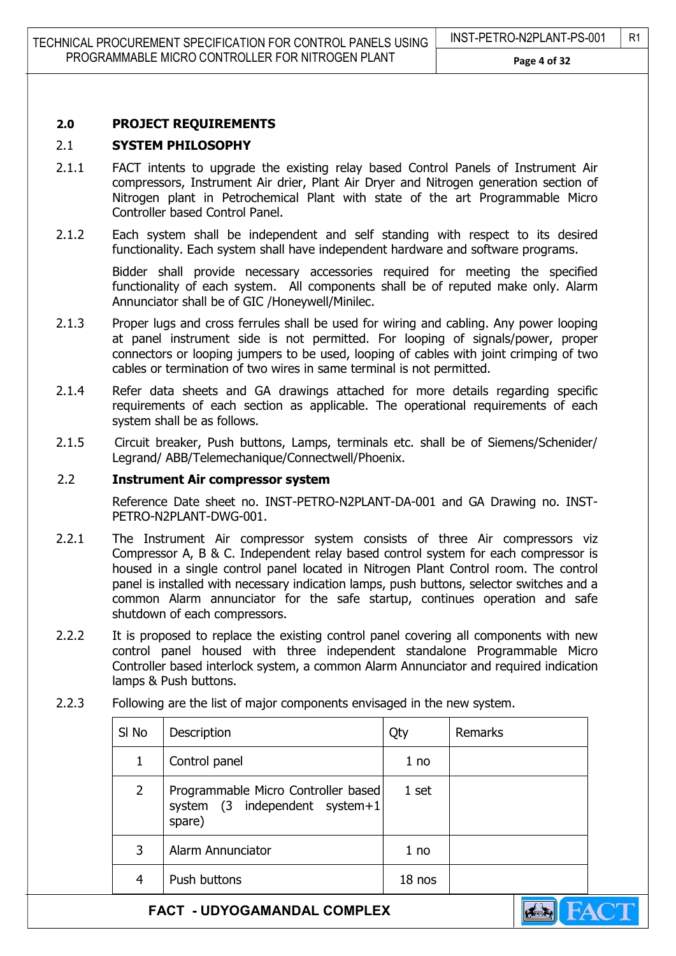#### 2.0 PROJECT REQUIREMENTS

#### 2.1 SYSTEM PHILOSOPHY

- 2.1.1 FACT intents to upgrade the existing relay based Control Panels of Instrument Air compressors, Instrument Air drier, Plant Air Dryer and Nitrogen generation section of Nitrogen plant in Petrochemical Plant with state of the art Programmable Micro Controller based Control Panel.
- 2.1.2 Each system shall be independent and self standing with respect to its desired functionality. Each system shall have independent hardware and software programs.

Bidder shall provide necessary accessories required for meeting the specified functionality of each system. All components shall be of reputed make only. Alarm Annunciator shall be of GIC /Honeywell/Minilec.

- 2.1.3 Proper lugs and cross ferrules shall be used for wiring and cabling. Any power looping at panel instrument side is not permitted. For looping of signals/power, proper connectors or looping jumpers to be used, looping of cables with joint crimping of two cables or termination of two wires in same terminal is not permitted.
- 2.1.4 Refer data sheets and GA drawings attached for more details regarding specific requirements of each section as applicable. The operational requirements of each system shall be as follows.
- 2.1.5 Circuit breaker, Push buttons, Lamps, terminals etc. shall be of Siemens/Schenider/ Legrand/ ABB/Telemechanique/Connectwell/Phoenix.

#### 2.2 Instrument Air compressor system

Reference Date sheet no. INST-PETRO-N2PLANT-DA-001 and GA Drawing no. INST-PETRO-N2PLANT-DWG-001.

- 2.2.1 The Instrument Air compressor system consists of three Air compressors viz Compressor A, B & C. Independent relay based control system for each compressor is housed in a single control panel located in Nitrogen Plant Control room. The control panel is installed with necessary indication lamps, push buttons, selector switches and a common Alarm annunciator for the safe startup, continues operation and safe shutdown of each compressors.
- 2.2.2 It is proposed to replace the existing control panel covering all components with new control panel housed with three independent standalone Programmable Micro Controller based interlock system, a common Alarm Annunciator and required indication lamps & Push buttons.

| SI <sub>No</sub> | Description                                                                     | Qty    | <b>Remarks</b> |
|------------------|---------------------------------------------------------------------------------|--------|----------------|
| 1                | Control panel                                                                   | 1 no   |                |
| 2                | Programmable Micro Controller based<br>system (3 independent system+1<br>spare) | 1 set  |                |
| 3                | Alarm Annunciator                                                               | 1 no   |                |
| 4                | Push buttons                                                                    | 18 nos |                |

2.2.3 Following are the list of major components envisaged in the new system.

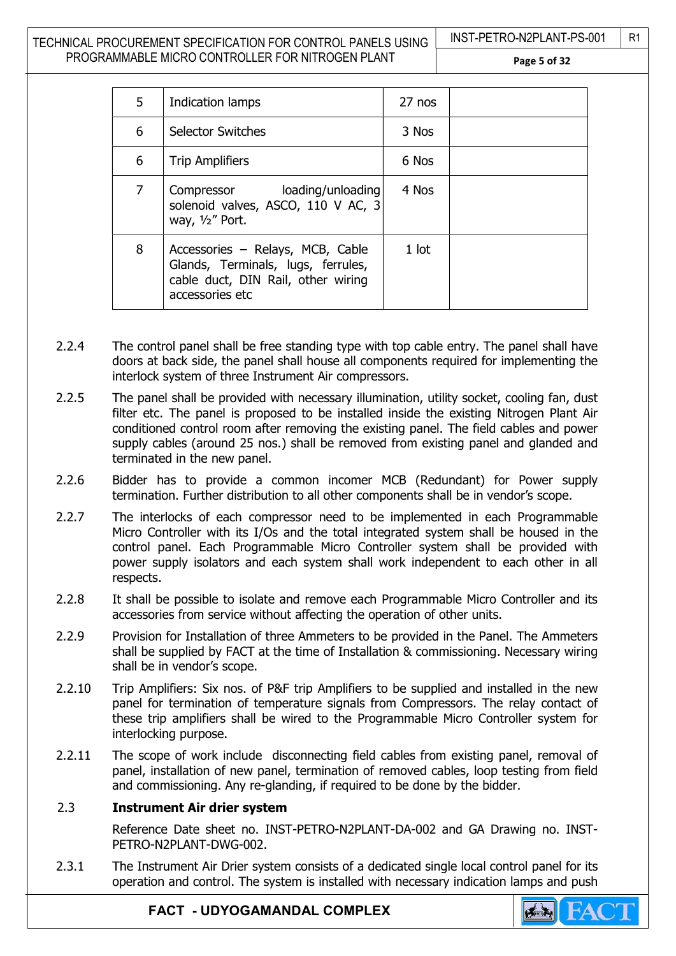#### TECHNICAL PROCUREMENT SPECIFICATION FOR CONTROL PANELS USING PROGRAMMABLE MICRO CONTROLLER FOR NITROGEN PLANT

INST-PETRO-N2PLANT-PS-001 | R1

Page 5 of 32

| 5              | Indication lamps                                                                                                                | 27 nos  |  |
|----------------|---------------------------------------------------------------------------------------------------------------------------------|---------|--|
| 6              | <b>Selector Switches</b>                                                                                                        | 3 Nos   |  |
| 6              | <b>Trip Amplifiers</b>                                                                                                          | 6 Nos   |  |
| $\overline{7}$ | Compressor loading/unloading<br>solenoid valves, ASCO, 110 V AC, 3<br>way, $1/2$ " Port.                                        | 4 Nos   |  |
| 8              | Accessories – Relays, MCB, Cable<br>Glands, Terminals, lugs, ferrules,<br>cable duct, DIN Rail, other wiring<br>accessories etc | $1$ lot |  |

- 2.2.4 The control panel shall be free standing type with top cable entry. The panel shall have doors at back side, the panel shall house all components required for implementing the interlock system of three Instrument Air compressors.
- 2.2.5 The panel shall be provided with necessary illumination, utility socket, cooling fan, dust filter etc. The panel is proposed to be installed inside the existing Nitrogen Plant Air conditioned control room after removing the existing panel. The field cables and power supply cables (around 25 nos.) shall be removed from existing panel and glanded and terminated in the new panel.
- 2.2.6 Bidder has to provide a common incomer MCB (Redundant) for Power supply termination. Further distribution to all other components shall be in vendor's scope.
- 2.2.7 The interlocks of each compressor need to be implemented in each Programmable Micro Controller with its I/Os and the total integrated system shall be housed in the control panel. Each Programmable Micro Controller system shall be provided with power supply isolators and each system shall work independent to each other in all respects.
- 2.2.8 It shall be possible to isolate and remove each Programmable Micro Controller and its accessories from service without affecting the operation of other units.
- 2.2.9 Provision for Installation of three Ammeters to be provided in the Panel. The Ammeters shall be supplied by FACT at the time of Installation & commissioning. Necessary wiring shall be in vendor's scope.
- 2.2.10 Trip Amplifiers: Six nos. of P&F trip Amplifiers to be supplied and installed in the new panel for termination of temperature signals from Compressors. The relay contact of these trip amplifiers shall be wired to the Programmable Micro Controller system for interlocking purpose.
- 2.2.11 The scope of work include disconnecting field cables from existing panel, removal of panel, installation of new panel, termination of removed cables, loop testing from field and commissioning. Any re-glanding, if required to be done by the bidder.

#### 2.3 Instrument Air drier system

Reference Date sheet no. INST-PETRO-N2PLANT-DA-002 and GA Drawing no. INST-PETRO-N2PLANT-DWG-002.

2.3.1 The Instrument Air Drier system consists of a dedicated single local control panel for its operation and control. The system is installed with necessary indication lamps and push

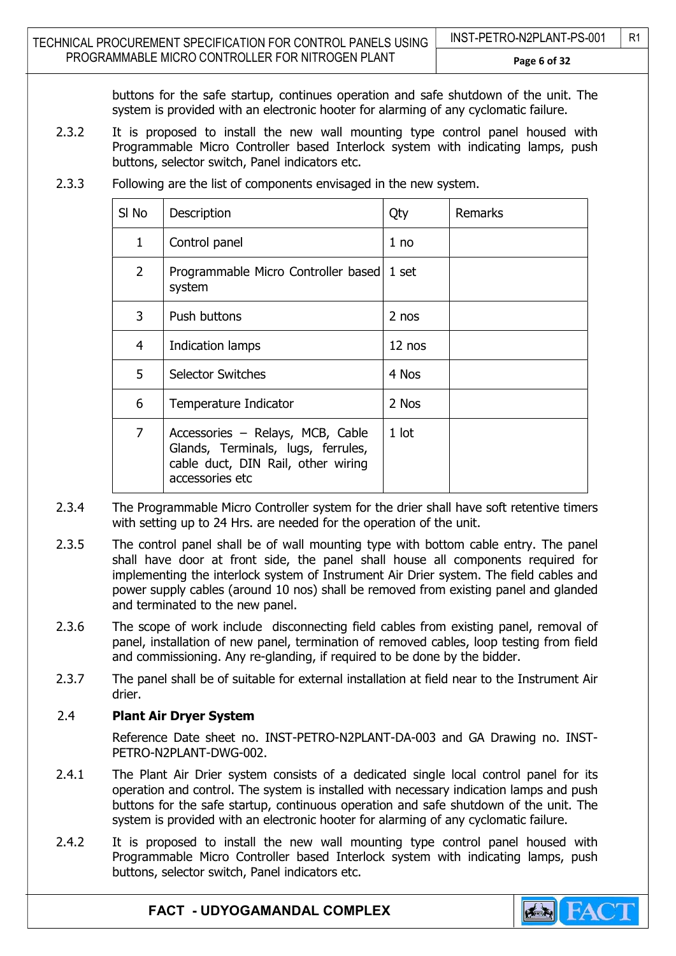buttons for the safe startup, continues operation and safe shutdown of the unit. The system is provided with an electronic hooter for alarming of any cyclomatic failure.

2.3.2 It is proposed to install the new wall mounting type control panel housed with Programmable Micro Controller based Interlock system with indicating lamps, push buttons, selector switch, Panel indicators etc.

| SI No          | Description                                                                                                                     | Qty      | <b>Remarks</b> |
|----------------|---------------------------------------------------------------------------------------------------------------------------------|----------|----------------|
| 1              | Control panel                                                                                                                   | 1 no     |                |
| $\overline{2}$ | Programmable Micro Controller based<br>system                                                                                   | 1 set    |                |
| 3              | Push buttons                                                                                                                    | 2 nos    |                |
| 4              | Indication lamps                                                                                                                | $12$ nos |                |
| 5              | <b>Selector Switches</b>                                                                                                        | 4 Nos    |                |
| 6              | Temperature Indicator                                                                                                           | 2 Nos    |                |
| $\overline{7}$ | Accessories - Relays, MCB, Cable<br>Glands, Terminals, lugs, ferrules,<br>cable duct, DIN Rail, other wiring<br>accessories etc | $1$ lot  |                |

2.3.3 Following are the list of components envisaged in the new system.

- 2.3.4 The Programmable Micro Controller system for the drier shall have soft retentive timers with setting up to 24 Hrs. are needed for the operation of the unit.
- 2.3.5 The control panel shall be of wall mounting type with bottom cable entry. The panel shall have door at front side, the panel shall house all components required for implementing the interlock system of Instrument Air Drier system. The field cables and power supply cables (around 10 nos) shall be removed from existing panel and glanded and terminated to the new panel.
- 2.3.6 The scope of work include disconnecting field cables from existing panel, removal of panel, installation of new panel, termination of removed cables, loop testing from field and commissioning. Any re-glanding, if required to be done by the bidder.
- 2.3.7 The panel shall be of suitable for external installation at field near to the Instrument Air drier.

#### 2.4 Plant Air Dryer System

Reference Date sheet no. INST-PETRO-N2PLANT-DA-003 and GA Drawing no. INST-PFTRO-N2PLANT-DWG-002.

- 2.4.1 The Plant Air Drier system consists of a dedicated single local control panel for its operation and control. The system is installed with necessary indication lamps and push buttons for the safe startup, continuous operation and safe shutdown of the unit. The system is provided with an electronic hooter for alarming of any cyclomatic failure.
- 2.4.2 It is proposed to install the new wall mounting type control panel housed with Programmable Micro Controller based Interlock system with indicating lamps, push buttons, selector switch, Panel indicators etc.

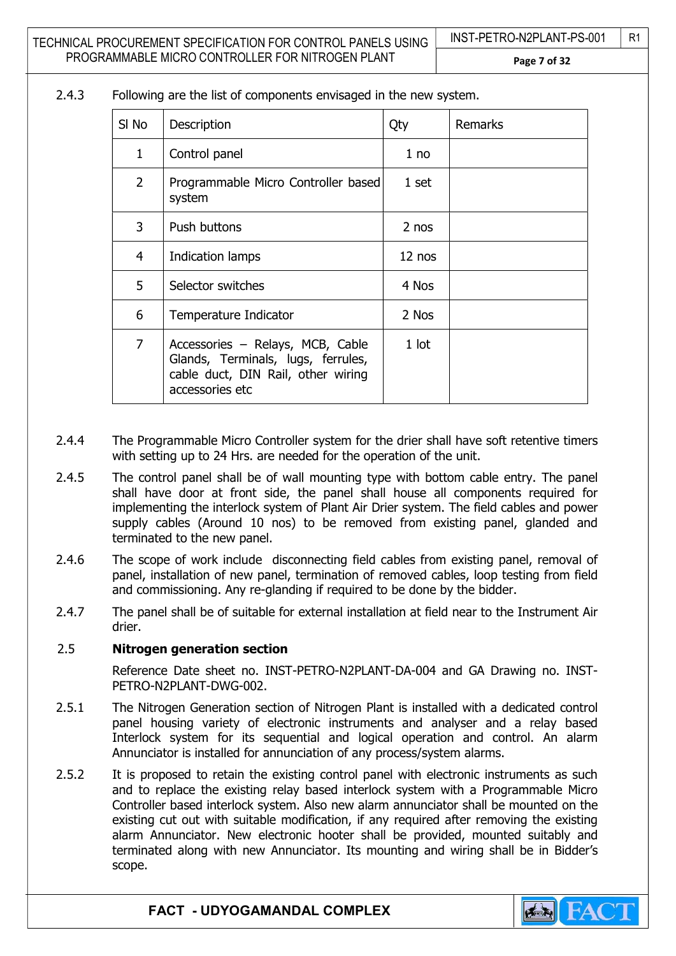#### 2.4.3 Following are the list of components envisaged in the new system.

| SI No          | Description                                                                                                                     | Qty     | <b>Remarks</b> |
|----------------|---------------------------------------------------------------------------------------------------------------------------------|---------|----------------|
| 1              | Control panel                                                                                                                   | 1 no    |                |
| $\overline{2}$ | Programmable Micro Controller based<br>system                                                                                   | 1 set   |                |
| 3              | Push buttons                                                                                                                    | 2 nos   |                |
| 4              | Indication lamps                                                                                                                | 12 nos  |                |
| 5              | Selector switches                                                                                                               | 4 Nos   |                |
| 6              | Temperature Indicator                                                                                                           | 2 Nos   |                |
| $\overline{7}$ | Accessories - Relays, MCB, Cable<br>Glands, Terminals, lugs, ferrules,<br>cable duct, DIN Rail, other wiring<br>accessories etc | $1$ lot |                |

- 2.4.4 The Programmable Micro Controller system for the drier shall have soft retentive timers with setting up to 24 Hrs. are needed for the operation of the unit.
- 2.4.5 The control panel shall be of wall mounting type with bottom cable entry. The panel shall have door at front side, the panel shall house all components required for implementing the interlock system of Plant Air Drier system. The field cables and power supply cables (Around 10 nos) to be removed from existing panel, glanded and terminated to the new panel.
- 2.4.6 The scope of work include disconnecting field cables from existing panel, removal of panel, installation of new panel, termination of removed cables, loop testing from field and commissioning. Any re-glanding if required to be done by the bidder.
- 2.4.7 The panel shall be of suitable for external installation at field near to the Instrument Air drier.

#### 2.5 Nitrogen generation section

Reference Date sheet no. INST-PETRO-N2PLANT-DA-004 and GA Drawing no. INST-PFTRO-N2PLANT-DWG-002.

- 2.5.1 The Nitrogen Generation section of Nitrogen Plant is installed with a dedicated control panel housing variety of electronic instruments and analyser and a relay based Interlock system for its sequential and logical operation and control. An alarm Annunciator is installed for annunciation of any process/system alarms.
- 2.5.2 It is proposed to retain the existing control panel with electronic instruments as such and to replace the existing relay based interlock system with a Programmable Micro Controller based interlock system. Also new alarm annunciator shall be mounted on the existing cut out with suitable modification, if any required after removing the existing alarm Annunciator. New electronic hooter shall be provided, mounted suitably and terminated along with new Annunciator. Its mounting and wiring shall be in Bidder's scope.

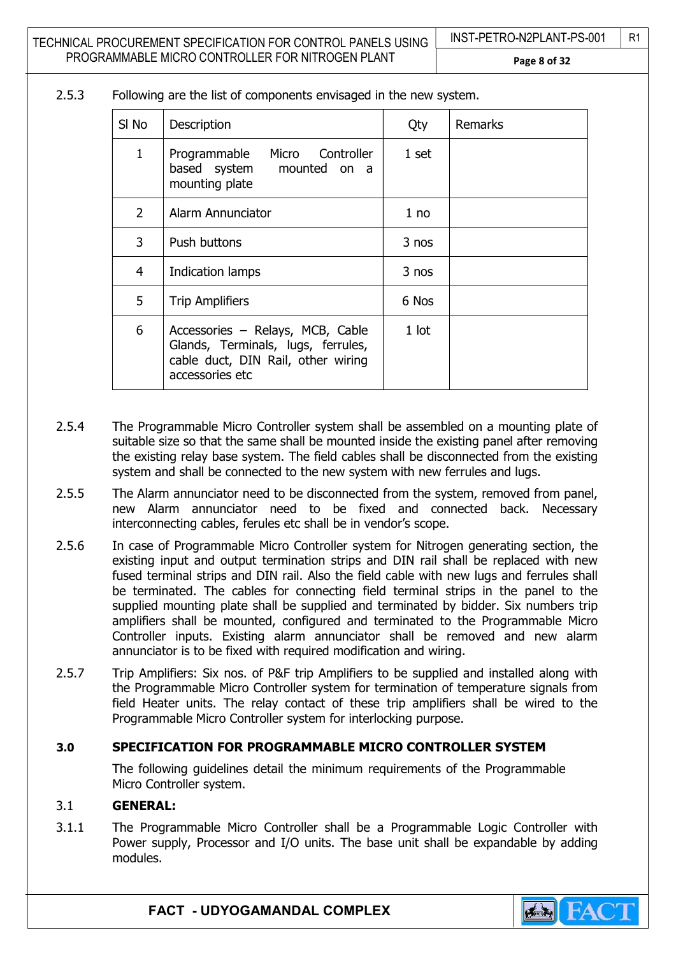Page 8 of 32

2.5.3 Following are the list of components envisaged in the new system.

| SI No          | Description                                                                                                                     | Qty             | Remarks |
|----------------|---------------------------------------------------------------------------------------------------------------------------------|-----------------|---------|
| $\mathbf{1}$   | Programmable<br>Micro Controller<br>based system mounted on a<br>mounting plate                                                 | 1 set           |         |
| $\overline{2}$ | Alarm Annunciator                                                                                                               | 1 <sub>no</sub> |         |
| 3              | Push buttons                                                                                                                    | 3 nos           |         |
| 4              | Indication lamps                                                                                                                | 3 nos           |         |
| 5              | <b>Trip Amplifiers</b>                                                                                                          | 6 Nos           |         |
| 6              | Accessories - Relays, MCB, Cable<br>Glands, Terminals, lugs, ferrules,<br>cable duct, DIN Rail, other wiring<br>accessories etc | $1$ lot         |         |

- 2.5.4 The Programmable Micro Controller system shall be assembled on a mounting plate of suitable size so that the same shall be mounted inside the existing panel after removing the existing relay base system. The field cables shall be disconnected from the existing system and shall be connected to the new system with new ferrules and lugs.
- 2.5.5 The Alarm annunciator need to be disconnected from the system, removed from panel, new Alarm annunciator need to be fixed and connected back. Necessary interconnecting cables, ferules etc shall be in vendor's scope.
- 2.5.6 In case of Programmable Micro Controller system for Nitrogen generating section, the existing input and output termination strips and DIN rail shall be replaced with new fused terminal strips and DIN rail. Also the field cable with new lugs and ferrules shall be terminated. The cables for connecting field terminal strips in the panel to the supplied mounting plate shall be supplied and terminated by bidder. Six numbers trip amplifiers shall be mounted, configured and terminated to the Programmable Micro Controller inputs. Existing alarm annunciator shall be removed and new alarm annunciator is to be fixed with required modification and wiring.
- 2.5.7 Trip Amplifiers: Six nos. of P&F trip Amplifiers to be supplied and installed along with the Programmable Micro Controller system for termination of temperature signals from field Heater units. The relay contact of these trip amplifiers shall be wired to the Programmable Micro Controller system for interlocking purpose.

#### 3.0 SPECIFICATION FOR PROGRAMMABLE MICRO CONTROLLER SYSTEM

The following guidelines detail the minimum requirements of the Programmable Micro Controller system.

#### 3.1 GENERAL:

3.1.1 The Programmable Micro Controller shall be a Programmable Logic Controller with Power supply, Processor and I/O units. The base unit shall be expandable by adding modules.

INST-PETRO-N2PLANT-PS-001 | R1

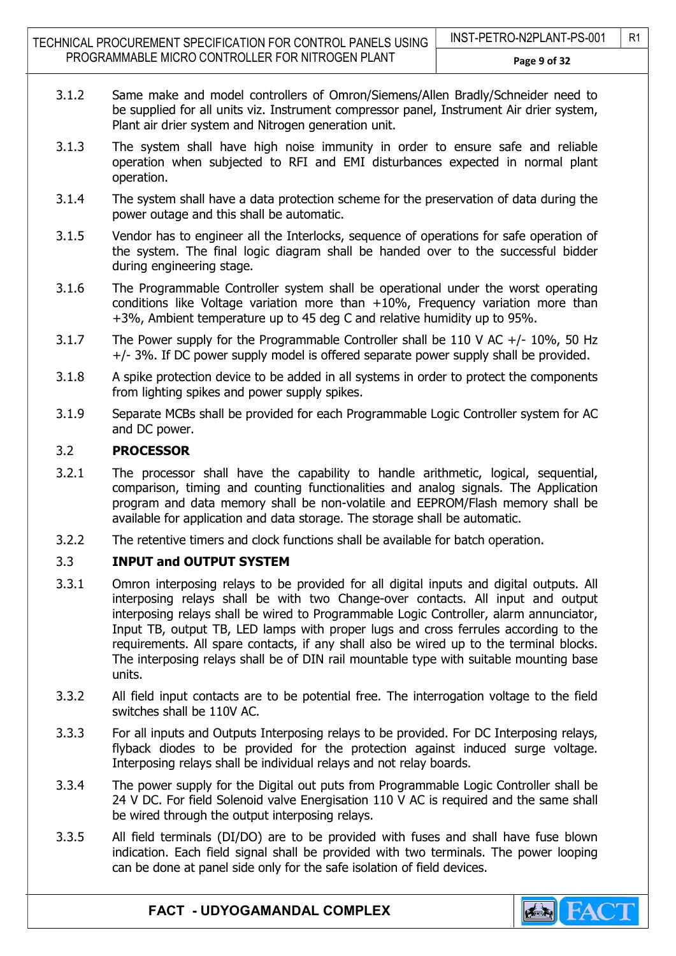TECHNICAL PROCUREMENT SPECIFICATION FOR CONTROL PANELS USING PROGRAMMABLE MICRO CONTROLLER FOR NITROGEN PLANT

- 3.1.2 Same make and model controllers of Omron/Siemens/Allen Bradly/Schneider need to be supplied for all units viz. Instrument compressor panel, Instrument Air drier system, Plant air drier system and Nitrogen generation unit.
- 3.1.3 The system shall have high noise immunity in order to ensure safe and reliable operation when subjected to RFI and EMI disturbances expected in normal plant operation.
- 3.1.4 The system shall have a data protection scheme for the preservation of data during the power outage and this shall be automatic.
- 3.1.5 Vendor has to engineer all the Interlocks, sequence of operations for safe operation of the system. The final logic diagram shall be handed over to the successful bidder during engineering stage.
- 3.1.6 The Programmable Controller system shall be operational under the worst operating conditions like Voltage variation more than +10%, Frequency variation more than +3%, Ambient temperature up to 45 deg C and relative humidity up to 95%.
- 3.1.7 The Power supply for the Programmable Controller shall be 110 V AC +/- 10%, 50 Hz +/- 3%. If DC power supply model is offered separate power supply shall be provided.
- 3.1.8 A spike protection device to be added in all systems in order to protect the components from lighting spikes and power supply spikes.
- 3.1.9 Separate MCBs shall be provided for each Programmable Logic Controller system for AC and DC power.

#### 3.2 PROCESSOR

- 3.2.1 The processor shall have the capability to handle arithmetic, logical, sequential, comparison, timing and counting functionalities and analog signals. The Application program and data memory shall be non-volatile and EEPROM/Flash memory shall be available for application and data storage. The storage shall be automatic.
- 3.2.2 The retentive timers and clock functions shall be available for batch operation.

#### 3.3 INPUT and OUTPUT SYSTEM

- 3.3.1 Omron interposing relays to be provided for all digital inputs and digital outputs. All interposing relays shall be with two Change-over contacts. All input and output interposing relays shall be wired to Programmable Logic Controller, alarm annunciator, Input TB, output TB, LED lamps with proper lugs and cross ferrules according to the requirements. All spare contacts, if any shall also be wired up to the terminal blocks. The interposing relays shall be of DIN rail mountable type with suitable mounting base units.
- 3.3.2 All field input contacts are to be potential free. The interrogation voltage to the field switches shall be 110V AC.
- 3.3.3 For all inputs and Outputs Interposing relays to be provided. For DC Interposing relays, flyback diodes to be provided for the protection against induced surge voltage. Interposing relays shall be individual relays and not relay boards.
- 3.3.4 The power supply for the Digital out puts from Programmable Logic Controller shall be 24 V DC. For field Solenoid valve Energisation 110 V AC is required and the same shall be wired through the output interposing relays.
- 3.3.5 All field terminals (DI/DO) are to be provided with fuses and shall have fuse blown indication. Each field signal shall be provided with two terminals. The power looping can be done at panel side only for the safe isolation of field devices.

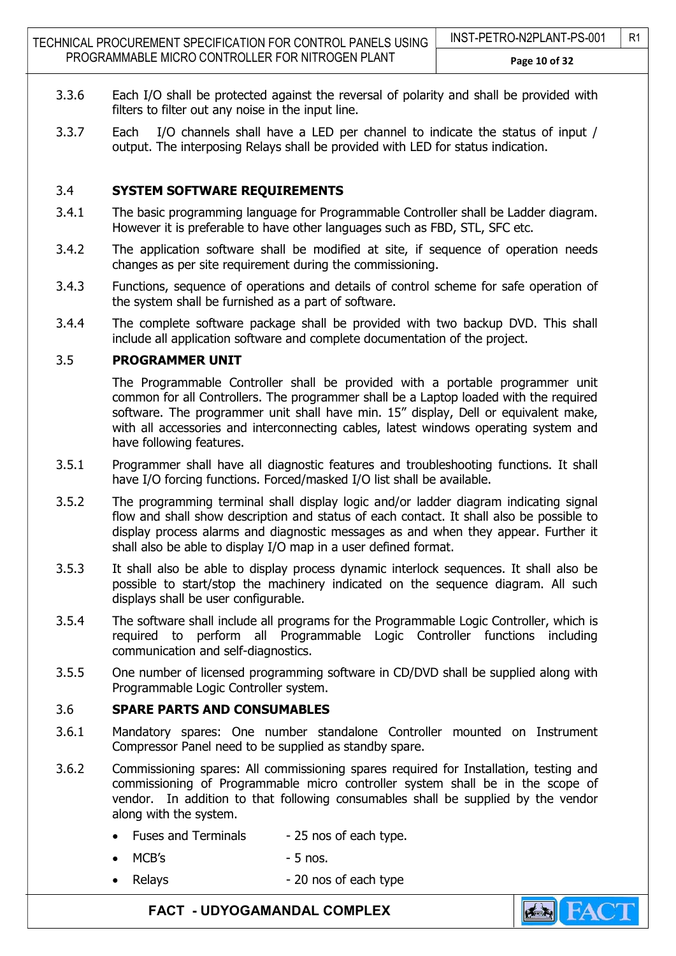- 3.3.6 Each I/O shall be protected against the reversal of polarity and shall be provided with filters to filter out any noise in the input line.
- 3.3.7 Each I/O channels shall have a LED per channel to indicate the status of input / output. The interposing Relays shall be provided with LED for status indication.

### 3.4 SYSTEM SOFTWARE REQUIREMENTS

- 3.4.1 The basic programming language for Programmable Controller shall be Ladder diagram. However it is preferable to have other languages such as FBD, STL, SFC etc.
- 3.4.2 The application software shall be modified at site, if sequence of operation needs changes as per site requirement during the commissioning.
- 3.4.3 Functions, sequence of operations and details of control scheme for safe operation of the system shall be furnished as a part of software.
- 3.4.4 The complete software package shall be provided with two backup DVD. This shall include all application software and complete documentation of the project.

#### 3.5 PROGRAMMER UNIT

The Programmable Controller shall be provided with a portable programmer unit common for all Controllers. The programmer shall be a Laptop loaded with the required software. The programmer unit shall have min. 15" display, Dell or equivalent make, with all accessories and interconnecting cables, latest windows operating system and have following features.

- 3.5.1 Programmer shall have all diagnostic features and troubleshooting functions. It shall have I/O forcing functions. Forced/masked I/O list shall be available.
- 3.5.2 The programming terminal shall display logic and/or ladder diagram indicating signal flow and shall show description and status of each contact. It shall also be possible to display process alarms and diagnostic messages as and when they appear. Further it shall also be able to display I/O map in a user defined format.
- 3.5.3 It shall also be able to display process dynamic interlock sequences. It shall also be possible to start/stop the machinery indicated on the sequence diagram. All such displays shall be user configurable.
- 3.5.4 The software shall include all programs for the Programmable Logic Controller, which is required to perform all Programmable Logic Controller functions including communication and self-diagnostics.
- 3.5.5 One number of licensed programming software in CD/DVD shall be supplied along with Programmable Logic Controller system.

#### 3.6 SPARE PARTS AND CONSUMABLES

- 3.6.1 Mandatory spares: One number standalone Controller mounted on Instrument Compressor Panel need to be supplied as standby spare.
- 3.6.2 Commissioning spares: All commissioning spares required for Installation, testing and commissioning of Programmable micro controller system shall be in the scope of vendor. In addition to that following consumables shall be supplied by the vendor along with the system.
	- Fuses and Terminals 25 nos of each type.
	- $MCB's$  5 nos.
	- Relays 20 nos of each type

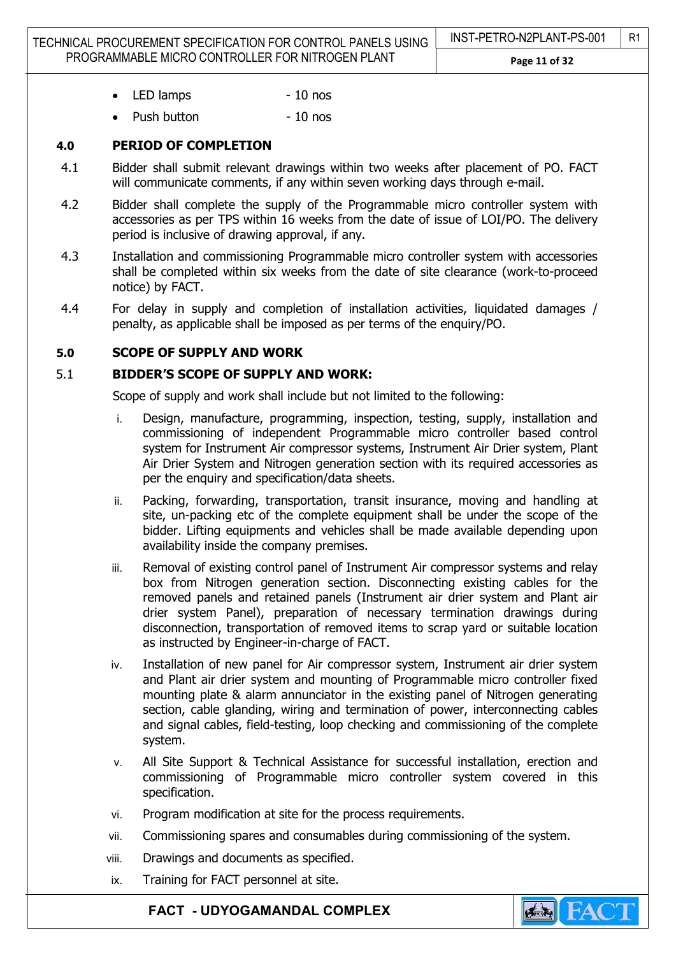- LED lamps 10 nos
- Push button  **10 nos**

## 4.0 PERIOD OF COMPLETION

- 4.1 Bidder shall submit relevant drawings within two weeks after placement of PO. FACT will communicate comments, if any within seven working days through e-mail.
- 4.2 Bidder shall complete the supply of the Programmable micro controller system with accessories as per TPS within 16 weeks from the date of issue of LOI/PO. The delivery period is inclusive of drawing approval, if any.
- 4.3 Installation and commissioning Programmable micro controller system with accessories shall be completed within six weeks from the date of site clearance (work-to-proceed notice) by FACT.
- 4.4 For delay in supply and completion of installation activities, liquidated damages / penalty, as applicable shall be imposed as per terms of the enquiry/PO.

#### 5.0 SCOPE OF SUPPLY AND WORK

#### 5.1 BIDDER'S SCOPE OF SUPPLY AND WORK:

Scope of supply and work shall include but not limited to the following:

- i. Design, manufacture, programming, inspection, testing, supply, installation and commissioning of independent Programmable micro controller based control system for Instrument Air compressor systems, Instrument Air Drier system, Plant Air Drier System and Nitrogen generation section with its required accessories as per the enquiry and specification/data sheets.
- ii. Packing, forwarding, transportation, transit insurance, moving and handling at site, un-packing etc of the complete equipment shall be under the scope of the bidder. Lifting equipments and vehicles shall be made available depending upon availability inside the company premises.
- iii. Removal of existing control panel of Instrument Air compressor systems and relay box from Nitrogen generation section. Disconnecting existing cables for the removed panels and retained panels (Instrument air drier system and Plant air drier system Panel), preparation of necessary termination drawings during disconnection, transportation of removed items to scrap yard or suitable location as instructed by Engineer-in-charge of FACT.
- iv. Installation of new panel for Air compressor system, Instrument air drier system and Plant air drier system and mounting of Programmable micro controller fixed mounting plate & alarm annunciator in the existing panel of Nitrogen generating section, cable glanding, wiring and termination of power, interconnecting cables and signal cables, field-testing, loop checking and commissioning of the complete system.
- v. All Site Support & Technical Assistance for successful installation, erection and commissioning of Programmable micro controller system covered in this specification.
- vi. Program modification at site for the process requirements.
- vii. Commissioning spares and consumables during commissioning of the system.
- viii. Drawings and documents as specified.
- ix. Training for FACT personnel at site.

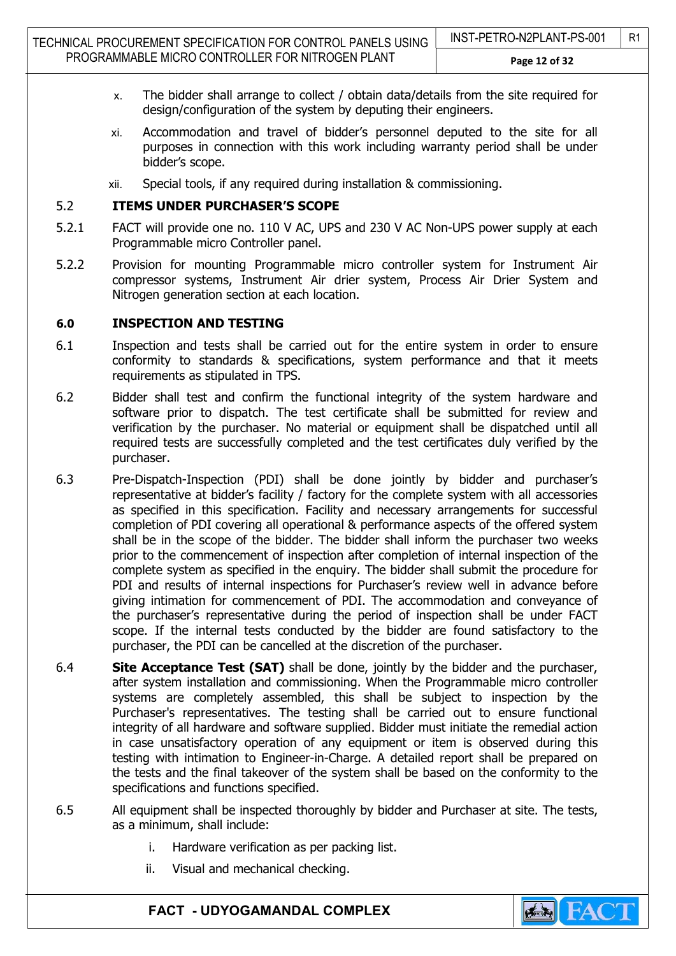- x. The bidder shall arrange to collect / obtain data/details from the site required for design/configuration of the system by deputing their engineers.
- xi. Accommodation and travel of bidder's personnel deputed to the site for all purposes in connection with this work including warranty period shall be under bidder's scope.
- xii. Special tools, if any required during installation & commissioning.

#### 5.2 ITEMS UNDER PURCHASER'S SCOPE

- 5.2.1 FACT will provide one no. 110 V AC, UPS and 230 V AC Non-UPS power supply at each Programmable micro Controller panel.
- 5.2.2 Provision for mounting Programmable micro controller system for Instrument Air compressor systems, Instrument Air drier system, Process Air Drier System and Nitrogen generation section at each location.

#### 6.0 INSPECTION AND TESTING

- 6.1 Inspection and tests shall be carried out for the entire system in order to ensure conformity to standards & specifications, system performance and that it meets requirements as stipulated in TPS.
- 6.2 Bidder shall test and confirm the functional integrity of the system hardware and software prior to dispatch. The test certificate shall be submitted for review and verification by the purchaser. No material or equipment shall be dispatched until all required tests are successfully completed and the test certificates duly verified by the purchaser.
- 6.3 Pre-Dispatch-Inspection (PDI) shall be done jointly by bidder and purchaser's representative at bidder's facility / factory for the complete system with all accessories as specified in this specification. Facility and necessary arrangements for successful completion of PDI covering all operational & performance aspects of the offered system shall be in the scope of the bidder. The bidder shall inform the purchaser two weeks prior to the commencement of inspection after completion of internal inspection of the complete system as specified in the enquiry. The bidder shall submit the procedure for PDI and results of internal inspections for Purchaser's review well in advance before giving intimation for commencement of PDI. The accommodation and conveyance of the purchaser's representative during the period of inspection shall be under FACT scope. If the internal tests conducted by the bidder are found satisfactory to the purchaser, the PDI can be cancelled at the discretion of the purchaser.
- 6.4 **Site Acceptance Test (SAT)** shall be done, jointly by the bidder and the purchaser, after system installation and commissioning. When the Programmable micro controller systems are completely assembled, this shall be subject to inspection by the Purchaser's representatives. The testing shall be carried out to ensure functional integrity of all hardware and software supplied. Bidder must initiate the remedial action in case unsatisfactory operation of any equipment or item is observed during this testing with intimation to Engineer-in-Charge. A detailed report shall be prepared on the tests and the final takeover of the system shall be based on the conformity to the specifications and functions specified.
- 6.5 All equipment shall be inspected thoroughly by bidder and Purchaser at site. The tests, as a minimum, shall include:
	- i. Hardware verification as per packing list.
	- ii. Visual and mechanical checking.

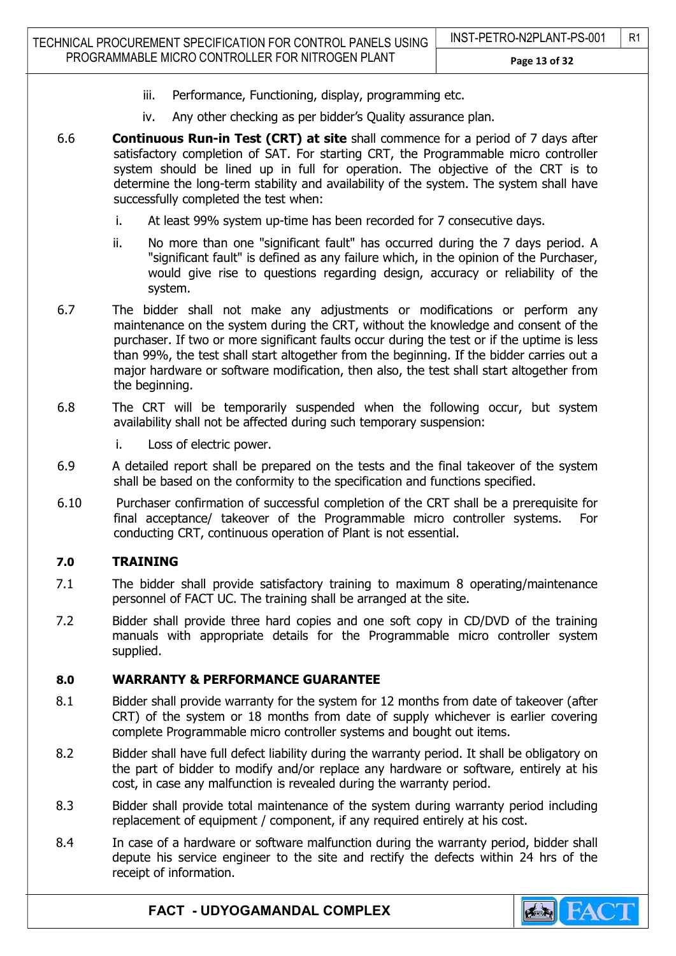- iii. Performance, Functioning, display, programming etc.
- iv. Any other checking as per bidder's Quality assurance plan.
- 6.6 Continuous Run-in Test (CRT) at site shall commence for a period of 7 days after satisfactory completion of SAT. For starting CRT, the Programmable micro controller system should be lined up in full for operation. The objective of the CRT is to determine the long-term stability and availability of the system. The system shall have successfully completed the test when:
	- i. At least 99% system up-time has been recorded for 7 consecutive days.
	- ii. No more than one "significant fault" has occurred during the 7 days period. A "significant fault" is defined as any failure which, in the opinion of the Purchaser, would give rise to questions regarding design, accuracy or reliability of the system.
- 6.7 The bidder shall not make any adjustments or modifications or perform any maintenance on the system during the CRT, without the knowledge and consent of the purchaser. If two or more significant faults occur during the test or if the uptime is less than 99%, the test shall start altogether from the beginning. If the bidder carries out a major hardware or software modification, then also, the test shall start altogether from the beginning.
- 6.8 The CRT will be temporarily suspended when the following occur, but system availability shall not be affected during such temporary suspension:
	- i. Loss of electric power.
- 6.9 A detailed report shall be prepared on the tests and the final takeover of the system shall be based on the conformity to the specification and functions specified.
- 6.10 Purchaser confirmation of successful completion of the CRT shall be a prerequisite for final acceptance/ takeover of the Programmable micro controller systems. For conducting CRT, continuous operation of Plant is not essential.

# 7.0 TRAINING

- 7.1 The bidder shall provide satisfactory training to maximum 8 operating/maintenance personnel of FACT UC. The training shall be arranged at the site.
- 7.2 Bidder shall provide three hard copies and one soft copy in CD/DVD of the training manuals with appropriate details for the Programmable micro controller system supplied.

# 8.0 WARRANTY & PERFORMANCE GUARANTEE

- 8.1 Bidder shall provide warranty for the system for 12 months from date of takeover (after CRT) of the system or 18 months from date of supply whichever is earlier covering complete Programmable micro controller systems and bought out items.
- 8.2 Bidder shall have full defect liability during the warranty period. It shall be obligatory on the part of bidder to modify and/or replace any hardware or software, entirely at his cost, in case any malfunction is revealed during the warranty period.
- 8.3 Bidder shall provide total maintenance of the system during warranty period including replacement of equipment / component, if any required entirely at his cost.
- 8.4 In case of a hardware or software malfunction during the warranty period, bidder shall depute his service engineer to the site and rectify the defects within 24 hrs of the receipt of information.

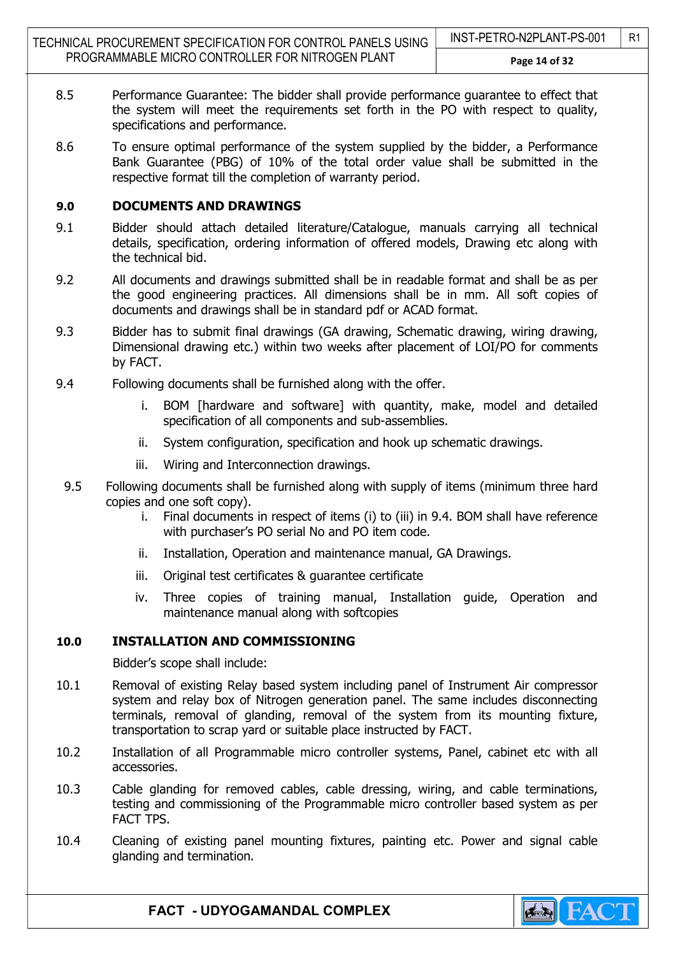TECHNICAL PROCUREMENT SPECIFICATION FOR CONTROL PANELS USING PROGRAMMABLE MICRO CONTROLLER FOR NITROGEN PLANT INST-PETRO-N2PLANT-PS-001 | R1 Page 14 of 32

- 8.5 Performance Guarantee: The bidder shall provide performance guarantee to effect that the system will meet the requirements set forth in the PO with respect to quality, specifications and performance.
	- 8.6 To ensure optimal performance of the system supplied by the bidder, a Performance Bank Guarantee (PBG) of 10% of the total order value shall be submitted in the respective format till the completion of warranty period.

## 9.0 DOCUMENTS AND DRAWINGS

- 9.1 Bidder should attach detailed literature/Catalogue, manuals carrying all technical details, specification, ordering information of offered models, Drawing etc along with the technical bid.
- 9.2 All documents and drawings submitted shall be in readable format and shall be as per the good engineering practices. All dimensions shall be in mm. All soft copies of documents and drawings shall be in standard pdf or ACAD format.
- 9.3 Bidder has to submit final drawings (GA drawing, Schematic drawing, wiring drawing, Dimensional drawing etc.) within two weeks after placement of LOI/PO for comments by FACT.
- 9.4 Following documents shall be furnished along with the offer.
	- i. BOM [hardware and software] with quantity, make, model and detailed specification of all components and sub-assemblies.
	- ii. System configuration, specification and hook up schematic drawings.
	- iii. Wiring and Interconnection drawings.
	- 9.5 Following documents shall be furnished along with supply of items (minimum three hard copies and one soft copy).
		- i. Final documents in respect of items (i) to (iii) in 9.4. BOM shall have reference with purchaser's PO serial No and PO item code.
		- ii. Installation, Operation and maintenance manual, GA Drawings.
		- iii. Original test certificates & guarantee certificate
		- iv. Three copies of training manual, Installation guide, Operation and maintenance manual along with softcopies

# 10.0 INSTALLATION AND COMMISSIONING

Bidder's scope shall include:

- 10.1 Removal of existing Relay based system including panel of Instrument Air compressor system and relay box of Nitrogen generation panel. The same includes disconnecting terminals, removal of glanding, removal of the system from its mounting fixture, transportation to scrap yard or suitable place instructed by FACT.
- 10.2 Installation of all Programmable micro controller systems, Panel, cabinet etc with all accessories.
- 10.3 Cable glanding for removed cables, cable dressing, wiring, and cable terminations, testing and commissioning of the Programmable micro controller based system as per FACT TPS.
- 10.4 Cleaning of existing panel mounting fixtures, painting etc. Power and signal cable glanding and termination.

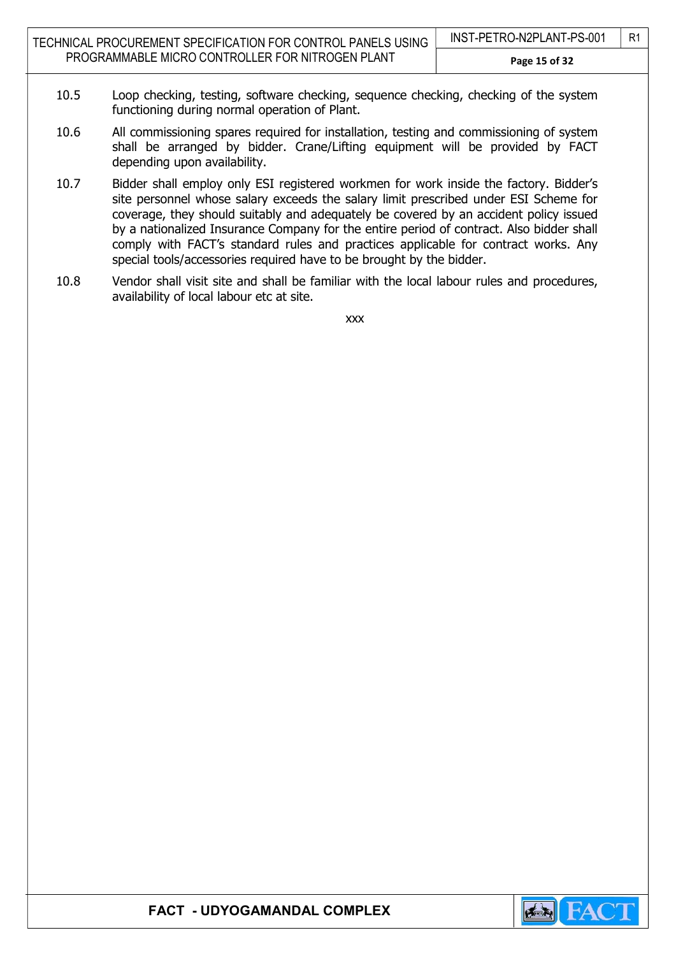- 10.5 Loop checking, testing, software checking, sequence checking, checking of the system functioning during normal operation of Plant.
- 10.6 All commissioning spares required for installation, testing and commissioning of system shall be arranged by bidder. Crane/Lifting equipment will be provided by FACT depending upon availability.
- 10.7 Bidder shall employ only ESI registered workmen for work inside the factory. Bidder's site personnel whose salary exceeds the salary limit prescribed under ESI Scheme for coverage, they should suitably and adequately be covered by an accident policy issued by a nationalized Insurance Company for the entire period of contract. Also bidder shall comply with FACT's standard rules and practices applicable for contract works. Any special tools/accessories required have to be brought by the bidder.
- 10.8 Vendor shall visit site and shall be familiar with the local labour rules and procedures, availability of local labour etc at site.

xxx

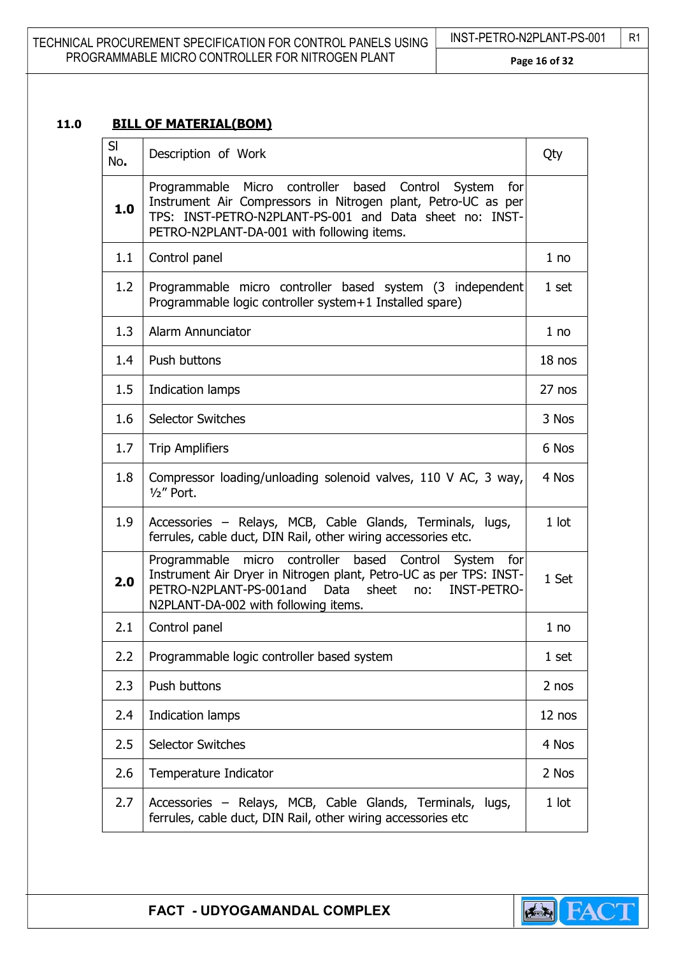| TECHNICAL PROCUREMENT SPECIFICATION FOR CONTROL PANELS USING | INST-PETRO-N2PLANT-PS-001 | $\mid$ R <sub>1</sub> |
|--------------------------------------------------------------|---------------------------|-----------------------|
| PROGRAMMABLE MICRO CONTROLLER FOR NITROGEN PLANT             | Page 16 of 32             |                       |

# 11.0 BILL OF MATERIAL(BOM)

| SI<br>No. | Description of Work                                                                                                                                                                                                                                     | Qty     |
|-----------|---------------------------------------------------------------------------------------------------------------------------------------------------------------------------------------------------------------------------------------------------------|---------|
| 1.0       | Programmable Micro controller based Control System<br>for<br>Instrument Air Compressors in Nitrogen plant, Petro-UC as per<br>TPS: INST-PETRO-N2PLANT-PS-001 and Data sheet no: INST-<br>PETRO-N2PLANT-DA-001 with following items.                     |         |
| 1.1       | Control panel                                                                                                                                                                                                                                           | 1 no    |
| 1.2       | Programmable micro controller based system (3 independent<br>Programmable logic controller system+1 Installed spare)                                                                                                                                    | 1 set   |
| 1.3       | Alarm Annunciator                                                                                                                                                                                                                                       | 1 no    |
| 1.4       | <b>Push buttons</b>                                                                                                                                                                                                                                     | 18 nos  |
| 1.5       | Indication lamps                                                                                                                                                                                                                                        | 27 nos  |
| 1.6       | <b>Selector Switches</b>                                                                                                                                                                                                                                | 3 Nos   |
| 1.7       | <b>Trip Amplifiers</b>                                                                                                                                                                                                                                  | 6 Nos   |
| 1.8       | Compressor loading/unloading solenoid valves, 110 V AC, 3 way,<br>$1/2$ " Port.                                                                                                                                                                         | 4 Nos   |
| 1.9       | Accessories - Relays, MCB, Cable Glands, Terminals, lugs,<br>ferrules, cable duct, DIN Rail, other wiring accessories etc.                                                                                                                              | $1$ lot |
| 2.0       | Programmable micro controller based Control<br>System for<br>Instrument Air Dryer in Nitrogen plant, Petro-UC as per TPS: INST-<br>PETRO-N2PLANT-PS-001and<br><b>INST-PETRO-</b><br><b>Data</b><br>sheet<br>no:<br>N2PLANT-DA-002 with following items. | 1 Set   |
| 2.1       | Control panel                                                                                                                                                                                                                                           | 1 no    |
| 2.2       | Programmable logic controller based system                                                                                                                                                                                                              | 1 set   |
| 2.3       | Push buttons                                                                                                                                                                                                                                            | 2 nos   |
| 2.4       | Indication lamps                                                                                                                                                                                                                                        | 12 nos  |
| 2.5       | <b>Selector Switches</b>                                                                                                                                                                                                                                | 4 Nos   |
| 2.6       | Temperature Indicator                                                                                                                                                                                                                                   | 2 Nos   |
| 2.7       | Accessories - Relays, MCB, Cable Glands, Terminals,<br>lugs,<br>ferrules, cable duct, DIN Rail, other wiring accessories etc                                                                                                                            | 1 lot   |